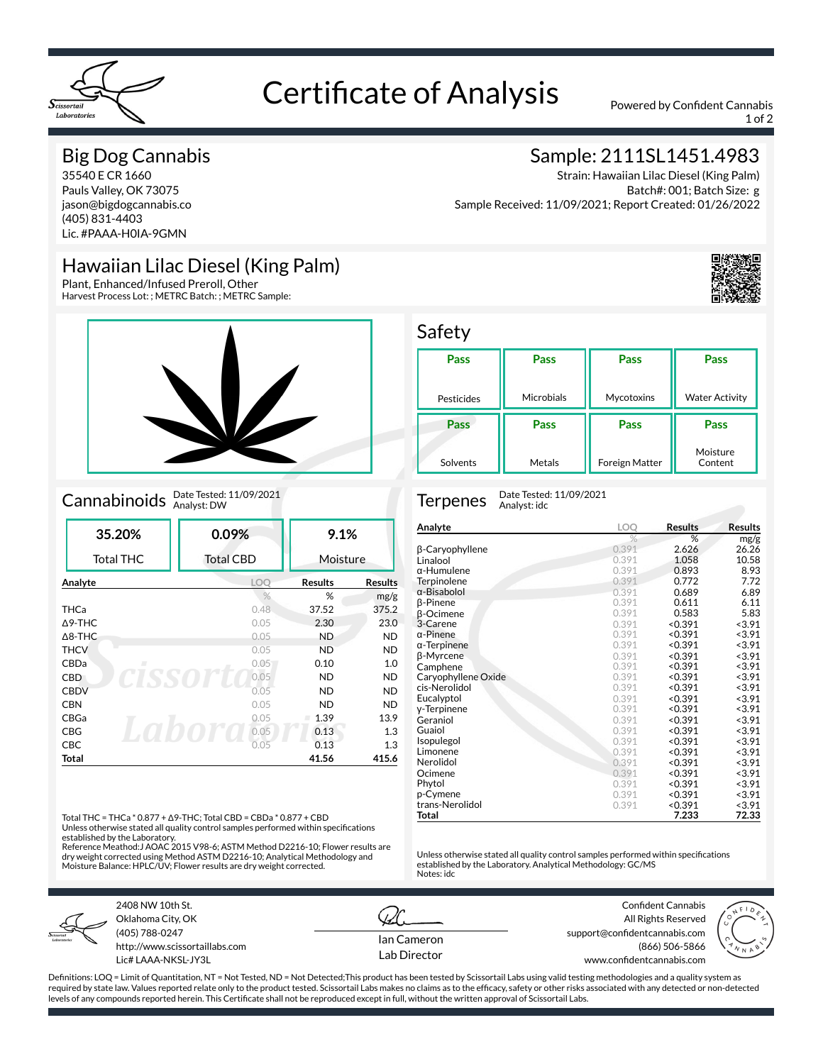

# Certificate of Analysis Powered by Confident Cannabis

1 of 2

### Big Dog Cannabis

35540 E CR 1660 Pauls Valley, OK 73075 jason@bigdogcannabis.co (405) 831-4403 Lic. #PAAA-H0IA-9GMN

## Hawaiian Lilac Diesel (King Palm)

Plant, Enhanced/Infused Preroll, Other Harvest Process Lot: ; METRC Batch: ; METRC Sample:



## Cannabinoids Date Tested: 11/09/2021

| 35.20%            | 0.09%            | 9.1%           |                |
|-------------------|------------------|----------------|----------------|
| <b>Total THC</b>  | <b>Total CBD</b> | Moisture       |                |
| Analyte           | <b>LOO</b>       | <b>Results</b> | <b>Results</b> |
|                   | $\frac{0}{6}$    | %              | mg/g           |
| <b>THCa</b>       | 0.48             | 37.52          | 375.2          |
| $\triangle$ 9-THC | 0.05             | 2.30           | 23.0           |
| $\triangle$ 8-THC | 0.05             | <b>ND</b>      | <b>ND</b>      |
| <b>THCV</b>       | 0.05             | <b>ND</b>      | <b>ND</b>      |
| CBDa<br>л         | 0.05             | 0.10           | 1.0            |
| <b>CBD</b>        | 0.05             | <b>ND</b>      | <b>ND</b>      |
| <b>CBDV</b>       | 0.05             | <b>ND</b>      | <b>ND</b>      |
| <b>CBN</b>        | 0.05             | <b>ND</b>      | <b>ND</b>      |
| CBGa              | 0.05             | 1.39           | 13.9           |
| <b>CBG</b>        | 0.05             | 0.13           | 1.3            |
| CBC               | 0.05             | 0.13           | 1.3            |
| Total             |                  | 41.56          | 415.6          |

Total THC = THCa \* 0.877 + Δ9-THC; Total CBD = CBDa \* 0.877 + CBD Unless otherwise stated all quality control samples performed within specifications

established by the Laboratory. Reference Meathod:J AOAC 2015 V98-6; ASTM Method D2216-10; Flower results are dry weight corrected using Method ASTM D2216-10; Analytical Methodology and

Moisture Balance: HPLC/UV; Flower results are dry weight corrected.



2408 NW 10th St. Oklahoma City, OK (405) 788-0247 http://www.scissortaillabs.com Lic# LAAA-NKSL-JY3L

Ian Cameron Lab Director

Confident Cannabis All Rights Reserved support@confidentcannabis.com (866) 506-5866

www.confidentcannabis.com



Definitions: LOQ = Limit of Quantitation, NT = Not Tested, ND = Not Detected;This product has been tested by Scissortail Labs using valid testing methodologies and a quality system as required by state law. Values reported relate only to the product tested. Scissortail Labs makes no claims as to the efficacy, safety or other risks associated with any detected or non-detected levels of any compounds reported herein. This Certificate shall not be reproduced except in full, without the written approval of Scissortail Labs.

## Sample: 2111SL1451.4983

Strain: Hawaiian Lilac Diesel (King Palm) Batch#: 001; Batch Size: g Sample Received: 11/09/2021; Report Created: 01/26/2022



#### **Safety**

| . ,        |            |                |                       |
|------------|------------|----------------|-----------------------|
| Pass       | Pass       | Pass           | Pass                  |
|            |            |                |                       |
|            |            |                |                       |
| Pesticides | Microbials | Mycotoxins     | <b>Water Activity</b> |
|            |            |                |                       |
| Pass       | Pass       | Pass           | Pass                  |
| Solvents   | Metals     | Foreign Matter | Moisture<br>Content   |

Terpenes Date Tested: 11/09/2021 Analyst: idc

| Analyte             | LOQ           | <b>Results</b> | Results |
|---------------------|---------------|----------------|---------|
|                     | $\frac{9}{6}$ | %              | mg/g    |
| β-Caryophyllene     | 0.391         | 2.626          | 26.26   |
| Linalool            | 0.391         | 1.058          | 10.58   |
| α-Humulene          | 0.391         | 0.893          | 8.93    |
| Terpinolene         | 0.391         | 0.772          | 7.72    |
| α-Bisabolol         | 0.391         | 0.689          | 6.89    |
| β-Pinene            | 0.391         | 0.611          | 6.11    |
| β-Ocimene           | 0.391         | 0.583          | 5.83    |
| 3-Carene            | 0.391         | < 0.391        | < 3.91  |
| $\alpha$ -Pinene    | 0.391         | < 0.391        | < 3.91  |
| $\alpha$ -Terpinene | 0.391         | < 0.391        | < 3.91  |
| β-Myrcene           | 0.391         | < 0.391        | < 3.91  |
| Camphene            | 0.391         | < 0.391        | < 3.91  |
| Caryophyllene Oxide | 0.391         | < 0.391        | < 3.91  |
| cis-Nerolidol       | 0.391         | < 0.391        | < 3.91  |
| Eucalyptol          | 0.391         | < 0.391        | < 3.91  |
| y-Terpinene         | 0.391         | < 0.391        | < 3.91  |
| Geraniol            | 0.391         | < 0.391        | < 3.91  |
| Guaiol              | 0.391         | < 0.391        | < 3.91  |
| Isopulegol          | 0.391         | < 0.391        | < 3.91  |
| Limonene            | 0.391         | < 0.391        | < 3.91  |
| Nerolidol           | 0.391         | < 0.391        | < 3.91  |
| Ocimene             | 0.391         | < 0.391        | < 3.91  |
| Phytol              | 0.391         | < 0.391        | < 3.91  |
| p-Cymene            | 0.391         | < 0.391        | < 3.91  |
| trans-Nerolidol     | 0.391         | < 0.391        | < 3.91  |
| Total               |               | 7.233          | 72.33   |

Unless otherwise stated all quality control samples performed within specifications established by the Laboratory. Analytical Methodology: GC/MS

Notes: idc